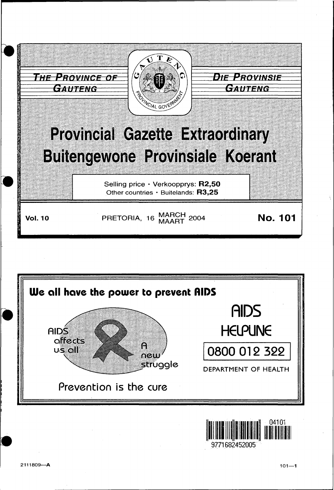





9771682452005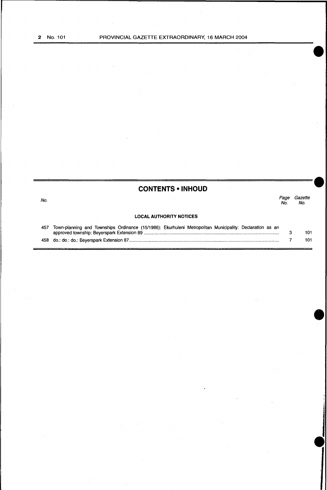No.

## ~~~~~~~~~~~~~~~~~~~- **CONTENTS • INHOUD**

*Page Gazette*  No. No.

#### **LOCAL AUTHORITY NOTICES**

| 457 Town-planning and Townships Ordinance (15/1986): Ekurhuleni Metropolitan Municipality: Declaration as an |     |
|--------------------------------------------------------------------------------------------------------------|-----|
|                                                                                                              | 101 |
|                                                                                                              | 101 |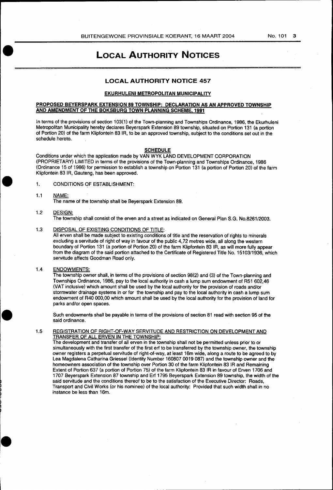## **LOCAL AUTHORITY NOTICES**

### **LOCAL AUTHORITY NOTICE 457**

#### **EKURHULENI METROPOLITAN MUNICIPALITY**

#### **PROPOSED BEYERSPARK EXTENSION 89 TOWNSHIP: DECLARATION AS AN APPROVED TOWNSHIP AND AMENDMENT OF THE BOKSBURG TOWN PLANNING SCHEME. 1991**

In terms of the provisions of section 103(1) of the Town-planning and Townships Ordinance, 1986, the Ekurhuleni Metropolitan Municipality hereby declares Beyerspark Extension 89 township, situated on Portion 131 (a portion of Portion 20) of the farm Klipfontein 83 IR, to be an approved township, subject to the conditions set out in the schedule hereto.

#### **SCHEDULE**

Conditions under which the application made by VANWYK LAND DEVELOPMENT CORPORATION (PROPRIETARY) LIMITED in terms of the provisions of the Town-planning and Townships Ordinance, 1986 (Ordinance 15 of 1986) for permission to establish a township on Portion 131 (a portion of Portion 20) of the farm Klipfontein 83 IR, Gauteng, has been approved.

- 1. CONDITIONS OF ESTABLISHMENT:
- 1.1 NAME:

The name of the township shall be Beyerspark Extension 89.

#### 1.2 DESIGN: The township shall consist of the erven and a street as indicated on General Plan S.G. No.8261/2003.

#### 1.3 DISPOSAL OF EXISTING CONDITIONS OF TITLE:

All erven shall be made subject to existing conditions of title and the reservation of rights to minerals excluding a servitude of right of way in favour of the public 4,72 metres wide, all along the western boundary of Portion 131 (a portion of Portion 20) of the farm Klipfontein 83 IR, as will more fully appear from the diagram of the said portion attached to the Certificate of Registered Title No. 15103/1936, which servitude affects Goodman Road only.

#### 1.4 ENDOWMENTS:

The township owner shall, in terms of the provisions of section 98(2) and (3) of the Town-planning and Townships Ordinance, 1986, pay to the local authority in cash a lump sum endowment of R51 602,46 (VAT inclusive) which amount shall be used by the local authority for the provision of roads and/or stormwater drainage systems in or for the township and pay to the local authority in cash a lump sum endowment of R40 000,00 which amount shall be used by the local authority for the provision of land for parks and/or open spaces.

Such endowments shall be payable in terms of the provisions of section 81 read with section 95 of the said ordinance.

#### 1.5 REGISTRATION OF RIGHT-OF-WAY SERVITUDE AND RESTRICTION ON DEVELOPMENT AND TRANSFER OF ALL ERVEN IN THE TOWNSHIP:

The development and transfer of all erven in the township shall not be permitted unless prior to or simultaneously with the first transfer of the first erf to be transferred by the township owner, the township owner registers a perpetual servitude of right-of-way, at least 16m wide, along a route to be agreed to by Lea Magdalena Catharina Griessel (Identity Number 160807 0019 087) and the township owner and the homeowners association of the township over Portion 30 of the farm Klipfontein 83 IR and Remaining Extent of Portion 637 (a portion of Portion 75) of the farm Klipfontein 83 IR in favour of Erven 1706 and 1707 Beyerspark Extension 87 township and Erf 1795 Beyerspark Extension 89 township, the width of the said servitude and the conditions thereof to be to the satisfaction of the Executive Director: Roads, Transport and Civil Works (or his nominee) of the local authority: Provided that such width shall in no instance be less than 16m.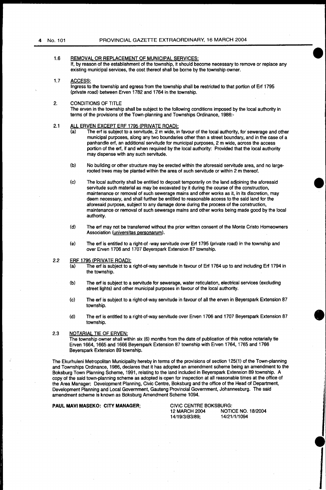- 1.6 REMOVAL OR REPLACEMENT OF MUNICIPAL SERVICES: If, by reason of the establishment of the township, it should become necessary to remove or replace any existing municipal services, the cost thereof shall be borne by the township owner.
- 1.7 ACCESS:

Ingress to the township and egress from the township shall be restricted to that portion of Erf 1795 (private road) between Erven 1782 and 1764 in the township.

2. CONDITIONS OF TITLE The erven in the township shall be subject to the following conditions imposed by the local authority in terms of the provisions of the Town-planning and Townships Ordinance, 1986:-

#### 2.1 ALL ERVEN EXCEPT ERF 1795 (PRIVATE ROAD):

- (a) The erf is subject to a servitude, 2 m wide, in favour of the local authority, for sewerage and other municipal purposes, along any two boundaries other than a street boundary, and in the case of a panhandle erf, an additional servitude for municipal purposes, 2 m wide, across the access portion of the erf, if and when required by the local authority: Provided that the local authority may dispense with any such servitude.
- (b) No building or other structure may be erected within the aforesaid servitude area, and no largerooted trees may be planted within the area of such servitude or within 2 m thereof.
- (c) The local authority shall be entitled to deposit temporarily on the land adjoining the aforesaid servitude such material as may be excavated by it during the course of the construction, maintenance or removal of such sewerage mains and other works as it, in its discretion, may deem necessary, and shall further be entitled to reasonable access to the said land for the aforesaid purpose, subject to any damage done during the process of the construction, maintenance or removal of such sewerage mains and other works being made good by the local authority.
- (d) The erf may not be transferred without the prior written consent of the Monte Cristo Homeowners Association (universitas personarum).
- (e) The erf is entitled to a right-of -way servitude over Erf 1795 (private road) in the township and over Erven 1706 and 1707 Beyerspark Extension 87 township.
- 2.2 ERF 1795 (PRIVATE ROAD):
	- (a) The erf is subject to a right-of-way servitude in favour of Erf 1764 up to and including Erf 1794 in the township.
	- (b) The erf is subject to a servitude for sewerage, water reticulation, electrical services (excluding street lights) and other municipal purposes in favour of the local authority.
	- (c) The erf is subject to a right-of-way servitude in favour of all the erven in Beyerspark Extension 87 township.
	- (d) The erf is entitled to a right-of-way servitude over Erven 1706 and 1707 Beyerspark Extension 87 township.

#### 2.3 NOTARIAL TIE OF ERVEN:

The township owner shall within six (6) months from the date of publication of this notice notarially tie Erven 1664, 1665 and 1666 Beyerspark Extension 87 township with Erven 1764, 1765 and 1766 Beyerspark Extension 89 township.

The Ekurhuleni Metropolitan Municipality hereby in terms of the provisions of section 125(1) of the Town-planning and Townships Ordinance, 1986, declares that it has adopted an amendment scheme being an amendment to the Boksburg Town Planning Scheme, 1991, relating to the land included in Beyerspark Extension 89 township. A copy of the said town-planning scheme as adopted is open for inspection at all reasonable times at the office of the Area Manager: Development Planning, Civic Centre, Boksburg and the office of the Head of Department, Development Planning and Local Government, Gauteng Provincial Government, Johannesburg. The said amendment scheme is known as Boksburg Amendment Scheme 1094.

**PAUL MAVI MASEKO:** CITY **MANAGER;** CIVIC CENTRE BOKSBURG: 14/19/3/83/89; 14/21/1/1094

**NOTICE NO. 18/2004** 

**•**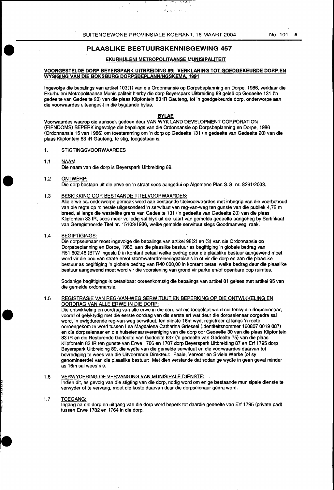Alban K

 $5 - 3 - 1$ 

### **PLAASLIKE BESTUURSKENNISGEWING 457**

#### **EKURHULENI METROPOLITAANSE MUNISIPALITEIT**

#### **VOORGESTELDE DORP BEYERSPARK UITBREIDING 89: VERKLARING TOT GOEDGEKEURDE DORP EN WYSIGING VAN DIE BOKSBURG DORPSBEPLANNINGSKEMA. 1991**

Ingevolge die bepalings van artikel 103(1) van die Ordonnansie op Dorpsbeplanning en Dorpe, 1986, verklaar die Ekurhuleni Metropolitaanse Munisipaliteit hierby die dorp Beyerspark Uitbreiding 89 galee op Gedeelte 131 ('n gedeelte van Gedeelte 20) van die plaas Klipfontein 83 JA Gauteng, tot 'n goedgekeurde dorp, onderworpe aan die voorwaardes uiteengesit in die bygaande bylae.

Voorwaardes waarop die aansoek gedoen deur VAN WYK LAND DEVELOPMENT CORPORATION (EIENDOMS) BEPERK ingevolge die bepalings van die Ordonnansie op Dorpsbeplanning en Dorpe, 1986 (Ordonnansie 15 van 1986) om toestemming om 'n dorp op Gedeelte 131 ('n gedeelte van Gedeelte 20) van die plaas Klipfontein 83 lA Gauteng, te stig, toegestaan is.

#### 1. STIGTINGSVOORW AARDES

1.1 NAAM:

Die naam van die dorp is Beyerspark Uitbreiding 89.

#### 1.2 ONTWERP:

Die dorp bestaan uit die erwe en 'n straat soos aangedui op Algemene Plan S.G. nr. 8261/2003.

#### 1.3 BESKIKKING OOR BESTAANDE TITELVOORWAARDES:

Aile erwe sal onderworpe gemaak word aan bestaande titelvoorwaardes met inbegrip van die voorbehoud van die regte op minerale uitgesonderd 'n serwituut van reg-van-weg ten gunste van die publiek 4, 72 m breed, allangs die westelike grens van Gedeelte 131 ('n gedeelte van Gedeelte 20) van die plaas Klipfontein 83 lA, soos meer volledig sal blyk uit die kaart van gemelde gedeelte aangeheg by Sertifikaat van Geregistreerde Titel nr. 15103/1936, welke gemelde serwituut slegs Goodmanweg raak.

#### 1.4 BEGIFTIGINGS:

Die dorpseienaar moet ingevolge die bepalings van artikel 98(2) en (3) van die Ordonnansie op Dorpsbeplanning en Dorpe, 1986, aan die plaaslike bestuur as begiftiging 'n globale bedrag van R51 602,46 (BTW ingesluit) in kontant betaal welke bedrag deur die plaaslike bestuur aangewend moet word vir die bou van strate en/of stormwaterdreineringstelsels in of vir die dorp en aan die plaaslike bestuur as begiftiging 'n globale bedrag van R40 000,00 in kontant betaal welke bedrag deur die plaaslike bestuur aangewend moet word vir die voorsiening van grond vir parke en/of openbare oop ruimtes.

Sodanige begiftigings is betaalbaar ooreenkomstig die bepalings van artikel 81 gelees met artikel 95 van die gemelde ordonnansie.

#### 1.5 REGISTRASIE VAN REG-VAN-WEG SERWITUUT EN BEPERKING OP DIE ONTWIKKELING EN OORDRAG VAN ALLE ERWE IN DIE DORP:

Die ontwikkeling en oordrag van alle erwe in die dorp sal nie toegelaat word nie tensy die dorpseienaar, vooraf of gelyktydig met die eerste oordrag van die eerste erf wat deur die dorpseienaar oorgedra sal word, 'n ewigdurende reg-van-weg serwituut, ten minste 16m wyd, registreer allangs 'n roete ooreengekom te word tussen Lea Magdalena Catharina Griessel (ldentiteitsnommer 160807 0019 087) en die dorpseienaar en die huiseienaarsvereniging van die dorp oor Gedeelte 30 van die plaas Klipfontein 831R en die Resterende Gedeelte van Gedeelte 637 ('n gedeelte van Gedeelte 75) van die plaas Klipfontein 831R ten gunste van Erwe 1706 en 1707 dorp Beyerspark Uitbreiding 87 en Erf 1795 dorp Beyerspark Uitbreiding 89, die wydte van die gemelde serwituut en die voorwaardes daarvan tot bevrediging te wees van die Uitvoerende Direkteur: Paaie, Vervoer en Siviele Werke (of sy genomineerde) van die plaaslike bestuur: Met dien verstande dat sodanige wydte in geen geval minder as 16m sal wees nie.

#### 1.6 VERWYDERING OF VERVANGING VAN MUNISIPALE DIENSTE:

Indien dit, as gevolg van die stigting van die dorp, nodig word om enige bestaande munisipale dienste te verwyder of te vervang, moet die koste daarvan deur die dorpseienaar gedra word.

#### 1.7 TOEGANG:

lngang na die dorp en uitgang van die dorp word beperk tot daardie gedeelte van Erf 1795 (private pad) tussen Erwe 1782 en 1764 in die dorp.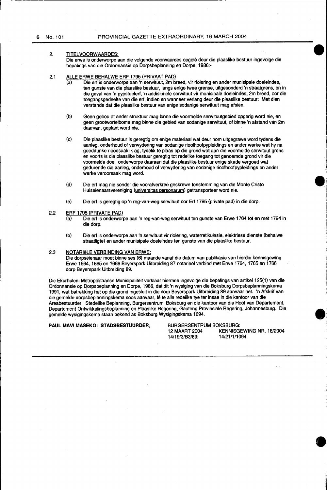#### 2. TITELVOORWAARDES:

Die erwe is onderworpe aan die volgende voorwaardes opgele deur die plaaslike bestuur ingevolge die bepalings van die Ordonnansie op Dorpsbeplanning en Dorpe, 1986:-

#### 2.1 ALLE ERWE BEHALWE ERF 1795 (PRIVAAT PAD)

- (a) Die erf is onderworpe aan 'n serwituut, 2m breed, vir riolering en ander munisipale doeleindes, ten gunste van die plaaslike bestuur, langs enige twee grense, uitgesonderd 'n straatgrens, en in die geval van 'n pypsteelerf, 'n addisionele serwituut vir munisipale doeleindes, 2m breed, oor die toegangsgedeelte van die erf, indien en wanneer verlang deur die plaaslike bestuur: Met dien verstande dat die plaaslike bestuur van enige sodanige serwituut mag afsien.
- (b) Geen gebou of ander struktuur mag binne die voormelde serwituutgebied opgerig word nie, en geen grootwortelbome mag binne die gebied van sodanige serwituut, of binne 'n afstand van 2m daarvan, geplant word nie.
- (c) Die plaaslike bestuur is geregtig om enige materiaal wat deur hom uitgegrawe word tydens die aanleg, onderhoud of verwydering van sodanige rioolhoofpypleidings en ander werke wat hy na goeddunke noodsaaklik ag, tydelik te plaas op die grond wat aan die voormelde serwituut grens en voorts is die plaaslike bestuur geregtig tot redelike toegang tot genoemde grond vir die voormelde doel, onderworpe daaraan dat die plaaslike bestuur enige skade vergoed wat gedurende die aanleg, onderhoud of verwydering van sodanige rioolhoofpypleidings en ander werke veroorsaak mag word.
- (d) Die erf mag nie sonder die voorafverkree geskrewe toestemming van die Monte Cristo Huiseienaarsvereniging (universitas personarum) getransporteer word nie.
- (e) Die erf is geregtig op 'n reg-van-weg serwituut oor Erf 1795 (private pad) in die dorp.

#### 2.2 ERF 1795 (PRIVATE PAD)

- (a) Die erf is onderworpe aan 'n reg-van-weg serwituut ten gunste van Erwe 1764 tot en met 1794 in die dorp.
- (b) Die erf is onderworpe aan 'n serwituut vir riolering, waterretikulasie, elektriese dienste (behalwe straatligte) en ander munisipale doeleindes ten gunste van die plaaslike bestuur.

#### 2.3 NOTARieLE VERBINDING VAN ERWE:

Die dorpseienaar moet binne ses (6) maande vanaf die datum van publikasie van hierdie kennisgewing Erwe 1664, 1665 en 1666 Beyerspark Uitbreiding 87 notarieel verbind met Erwe 1764, 1765 en 1766 dorp Beyerspark Uitbreiding 89.

Die Ekurhuleni Metropolitaanse Munisipaliteit verklaar hiermee ingevolge die bepalings van artikel 125(1) van die Ordonnansie op Dorpsbeplanning en Dorpe, 1986, dat dit 'n wysiging van die Boksburg Dorpsbeplanningskema 1991, wat betrekking het op die grond ingesluit in die dorp Beyerspark Uitbreiding 89 aanvaar het. 'n Afskrif van die gemelde dorpsbeplanningskema soos aanvaar, lê te alle redelike tye ter insae in die kantoor van die Areabestuurder: Stedelike Beplanning, Burgersentrum, Boksburg en die kantoor van die Hoof van Departement, Departement Ontwikkelingsbeplanning en Plaaslike Regering, Gauteng Provinsiale Regering, Johannesburg. Die gemelde wysigingskema staan bekend as Boksburg Wysigingskema 1094.

**PAUL MAVI MASEKO: STADSBESTUURDER;** BURGERSENTRUM BOKSBURG: 14/19/3/B3/89;

KENNISGEWING NR. 18/2004<br>14/21/1/1094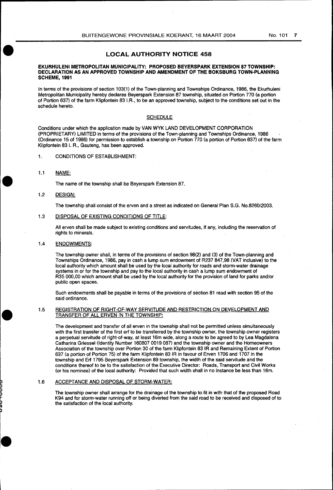### **LOCAL AUTHORITY NOTICE 458**

#### **EKURHULENI METROPOLITAN MUNICIPALITY: PROPOSED BEYERSPARK EXTENSION 87 TOWNSHIP: DECLARATION AS AN APPROVED TOWNSHIP AND AMENDMENT OF THE BOKSBURG TOWN-PLANNING SCHEME, 1991**

In terms of the provisions of section 103(1) of the Town-planning and Townships Ordinance, 1986, the Ekurhuleni Metropolitan Municipality hereby declares Beyerspark Extension 87 township, situated on Portion 770 (a portion of Portion 637) of the farm Klipfontein 83 I.R., to be an approved township, subject to the conditions set out in the schedule hereto.

#### **SCHEDULE**

Conditions under which the application made by VANWYK LAND DEVELOPMENT CORPORATION (PROPRIETARY) LIMITED in terms of the provisions of the Town-planning and Townships Ordinance, 1986 (Ordinance 15 of 1986) for permission to establish a township on Portion 770 (a portion of Portion 637) of the farm Klipfontein 831. R., Gauteng, has been approved.

1. CONDITIONS OF ESTABLISHMENT:

1.1 NAME:

The name of the township shall be Beyerspark Extension 87.

1.2 DESIGN:

The township shall consist of the erven and a street as indicated on General Plan S.G. No.8260/2003.

#### 1.3 DISPOSAL OF EXISTING CONDITIONS OF TITLE:

All erven shall be made subject to existing conditions and servitudes, if any, including the reservation of rights to minerals.

#### 1.4 ENDOWMENTS:

The township owner shall, in terms of the provisions of section 98(2) and (3) of the Town-planning and Townships Ordinance, 1986, pay in cash a lump sum endowment of R237 847,98 (VAT inclusive) to the local authority which amount shall be used by the local authority for roads and storm-water drainage systems in or for the township and pay to the local authority in cash a lump sum endowment of R35 000,00 which amount shall be used by the local authority for the provision of land for parks and/or public open spaces.

Such endowments shall be payable in terms of the provisions of section 81 read with section 95 of the said ordinance.

#### 1.5 REGISTRATION OF RIGHT-OF-WAY SERVITUDE AND RESTRICTION ON DEVELOPMENT AND TRANSFER OF ALL ERVEN IN THE TOWNSHIP:

The development and transfer of all erven in the township shall not be permitted unless simultaneously with the first transfer of the first erf to be transferred by the township owner, the township owner registers a perpetual servitude of right-of-way, at least 16m wide, along a route to be agreed to by Lea Magdalena Catharina Griessel (Identity Number 160807 0019 087) and the township owner and the Homeowners Association of the township over Portion 30 of the farm Klipfontein 83 IR and Remaining Extent of Portion 637 (a portion of Portion 75) of the farm Klipfontein 83 IR in favour of Erven 1706 and 1707 in the township and Erf 1795 Beyerspark Extension 89 township, the width of the said servitude and the conditions thereof to be to the satisfaction of the Executive Director: Roads, Transport and Civil Works (or his nominee) of the local authority: Provided that such width shall in no instance be less than 16m.

#### 1.6 ACCEPTANCE AND DISPOSAL OF STORM-WATER:

The township owner shall arrange for the drainage of the township to fit in with that of the proposed Road K94 and for storm-water running off or being diverted from the said road to be received and disposed of to the satisfaction of the local authority.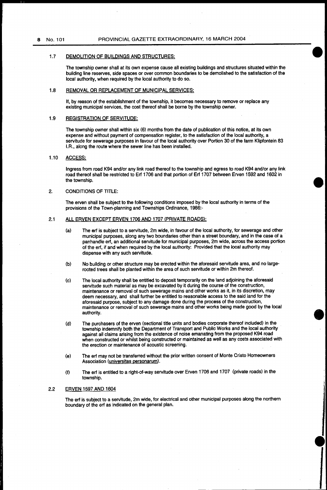#### 1.7 DEMOLITION OF BUILDINGS AND STRUCTURES:

The township owner shall at its own expense cause all existing buildings and structures situated within the building fine reserves, side spaces or over common boundaries to be demolished to the satisfaction of the local authority, when required by the local authority to do so.

#### 1.8 REMOVAL OR REPLACEMENT OF MUNICIPAL SERVICES:

It, by reason of the establishment of the township, it becomes necessary to remove or replace any existing municipal services, the cost thereof shall be borne by the township owner.

#### 1.9 REGISTRATION OF SERVITUDE:

The township owner shall within six (6) months from the date of publication of this notice, at its own expense and without payment of compensation register, to the satisfaction of the local authority, a servitude for sewerage purposes in favour of the local authority over Portion 30 of the farm Klipfontein 83 I.A., along the route where the sewer line has been installed.

### 1.10 ACCESS:

Ingress from road K94 and/or any link road thereof to the township and egress to road K94 and/or any link road thereof shall be restricted to Erf 1706 and that portion of Erf 1707 between Erven 1592 and 1602 in the township.

#### 2. CONDITIONS OF TITLE:

The erven shall be subject to the following conditions imposed by the local authority in terms of the provisions of the Town-planning and Townships Ordinance, 1986:-

#### 2.1 ALL ERVEN EXCEPT ERVEN 1706 AND 1707 (PRIVATE ROADS):

- (a) The erf is subject to a servitude, 2m wide, in favour of the local authority, for sewerage and other municipal purposes, along any two boundaries other than a street boundary, and in the case of a panhandle erf, an additional servitude for municipal purposes, 2m wide, across the access portion of the erf, if and when required by the local authority: Provided that the local authority may dispense with any such servitude.
- (b) No building or other structure may be erected within the aforesaid servitude area, and no largerooted trees shall be planted within the area of such servitude or within 2m thereof.
- (c) The local authority shall be entitled to deposit temporarily on the land adjoining the aforesaid servitude such material as may be excavated by it during the course of the construction, maintenance or removal of such sewerage mains and other works as it, in its discretion, may deem necessary, and shall further be entitled to reasonable access to the said land for the aforesaid purpose, subject to any damage done during the process of the construction, maintenance or removal of such sewerage mains and other works being made good by the local authority.
- (d) The purchasers of the erven (sectional title units and bodies corporate thereof included) in the township indemnify both the Department of Transport and Public Works and the local authority against all claims arising from the existence of noise emanating from the proposed K94 road when constructed or whilst being constructed or maintained as well as any costs associated with the erection or maintenance of acoustic screening.
- (e) The erf may not be transferred without the prior written consent of Monte Cristo Homeowners Association (universitas personarum).
- (f) The erf is entitled to a right-of-way servitude over Erven 1706 and 1707 (private roads) in the township.

#### 2.2 ERVEN 1597 AND 1604

The erf is subject to a servitude, 2m wide, for electrical and other municipal purposes along the northern boundary of the erf as indicated on the general plan.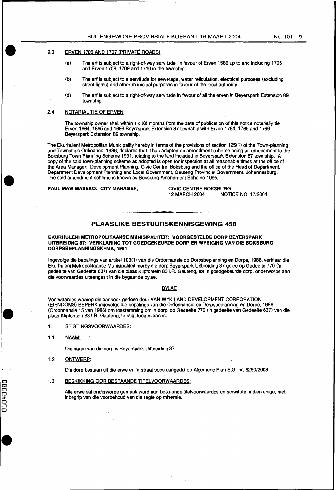### 2.3 ERVEN 1706AND 1707 (PRIVATE ROADS)

- (a) The erf is subject to a right-of-way servitude in favour of Erven 1589 up to and including 1705 and Erven 1708, 1709 and 1710 in the township.
- (b) The erf is subject to a servitude for sewerage, water reticulation, electrical purposes (excluding street lights) and other municipal purposes in favour of the local authority.
- (d) The erf is subject to a right-of-way servitude in favour of all the erven in Beyerspark Extension 89 township.

### 2.4 NOTARIAL TIE OF ERVEN

The township owner shall within six (6) months from the date of publication of this notice notarially tie Erven 1664, 1665 and 1666 Beyerspark Extension 87 township with Erven 1764, 1765 and 1766 Beyerspark Extension 89 township.

The Ekurhuleni Metropolitan Municipality hereby in terms of the provisions of section 125(1) of the Town-planning and Townships Ordinance, 1986, declares that it has adopted an amendment scheme being an amendment to the Boksburg Town Planning Scheme 1991, relating to the land included in Beyerspark Extension 87 township. A copy of the said town-planning scheme as adopted is open for inspection at all reasonable times at the office of the Area Manager: Development Planning, Civic Centre, Boksburg and the office of the Head of Department, Department Development Planning and Local Government, Gauteng Provincial Government, Johannesburg. The said amendment scheme is known as Boksburg Amendment Scheme 1095.

PAUL MAVI MASEKO: CITY MANAGER; CIVIC CENTRE BOKSBURG:<br>12 MARCH 2004 - 12 MARCH 2004 **NOTICE NO. 17/2004** 

#### PLAASLIKE BESTUURSKENNISGEWING 458

#### EKURHULENI METROPOLITAANSE MUNISIPALITEIT: VOORGESTELDE DORP BEYERSPARK UITBREIDNG *87:* VERKLARING TOT GOEDGEKEURDE DORP EN WYSIGING VAN DIE BOKSBURG DORPSBEPLANNINGSKEMA, 1991

Ingevolge die bepalings van artikel 103(1) van die Ordonnansie op Dorpsbeplanning en Dorpe, 1986, verklaar die Ekurhuleni Metropolitaanse Munisipaliteit hierby die dorp Beyerspark Uitbreiding 87 galee op Gedeelte 770 ('n gedeelte van Gedeelte 637) van die plaas Klipfontein 83 I.R. Gauteng, tot 'n goedgekeurde dorp, onderworpe aan die voorwaardes uiteengesit in die bygaande bylae.

#### BYLAE

Voorwaardes waarop die aansoek gedoen deur VANWYK LAND DEVELOPMENT CORPORATION (EIENDOMS) BEPERK ingevolge die bepalings van die Ordonnansie op Dorpsbeplanning en Dorpe, 1986 (Ordonnansie 15 van 1986) om toestemming om 'n dorp op Gedeelte 770 ('n gedeelte van Gedeelte 637) van die plaas Klipfontein 831.R. Gauteng, te stig, toegestaan is.

- 1. STIGTINGSVOORW AARDES:
- 1.1 NAAM:

Die naam van die dorp is Beyerspark Uitbreiding 87.

1.2 ONTWERP:

L C C C H

010<br>C

Die dorp bestaan uit die erwe en 'n straat soos aangedui op Algemene Plan S.G. nr. 8260/2003.

#### 1.3 BESKIKKING OOR BESTAANDE TITELVOORWAARDES:

Aile erwe sal onderworpe gemaak word aan bestaande titelvoorwaardes en serwitute, indien enige, met inbegrip van die voorbehoud van die regte op minerale.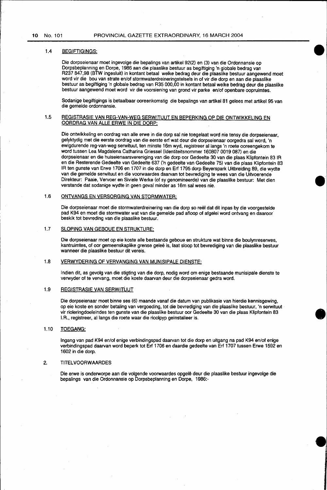#### 1.4 BEGIFTIGINGS:

Die dorpseienaar moat ingevolge die bepalings van artikel 92(2) en (3) van die Ordonnansie op Dorpsbeplanning en Dorpe, 1986 aan die plaaslike bestuur as begiftiging 'n globale bedrag van R237 847,98 (BTW ingesluit) in kontant betaal welke bedrag deur die plaaslike bestuur aangewend moet word vir die bou van strate en/of stormwaterdreineringstelsels in of vir die dorp en aan die plaaslike bestuur as begiftiging 'n globale bedrag van R35 000,00 in kontant betaal welke bedrag deur die plaaslike bestuur aangewend moet word vir die voorsiening van grond vir parke en/of openbare oopruimtes.

Sodanige begiftigings is betaalbaar ooreenkomstig die bepalings van artikel 81 gelees met artikel 95 van die gemelde ordonnansie.

#### 1.5 REGISTRASIE VAN REG-VAN-WEG SERWITUUT EN BEPERKING OP DIE ONTWIKKELING EN OORDRAG VAN ALLE ERWE IN DIE DORP:

Die ontwikkeling en oordrag van aile erwe in die dorp sal nie toegelaat word nie tensy die dorpseienaar, gelyktydig met die eerste oordrag van die eerste erf wat deur die dorpseienaar oorgedra sal word, 'n ewigdurende reg-van-weg serwituut, ten minste 16m wyd, registreer allangs 'n roete ooreengekom te word tussen Lea Magdalena Catharina Griessel (ldentiteitsnommer 160807 0019 087) en die dorpseienaar en die huiseienaarsvereniging van die dorp oor Gedeelte 30 van die plaas Klipfontein 83 IR en die Resterende Gedeelte van Gedeelte 637 ('n gedeelte van Gedeelte 75) van die plaas Klipfontein 83 IR ten gunste van Erwe 1706 en 1707 in die dorp en Erf 1795 dorp Beyerspark Uitbreiding 89, die wydte van die gemelde serwituut en die voorwaardes daarvan tot bevrediging te wees van die Uitvoerende Direkteur: Paaie, Vervoer en Siviele Werke (of sy genomineerde) van die plaaslike bestuur: Met dien verstande dat sodanige wydte in geen geval minder as 16m sal wees nie.

#### 1.6 ONTVANGS EN VERSORGING VAN STORMWATER:

Die dorpseienaar moet die stormwaterdreinering van die dorp so reel dat dit inpas by die voorgestelde pad K94 en moet die stormwater wat van die gemelde pad afloop of afgelei word ontvang en daaroor beskik tot bevreding van die plaaslike bestuur.

#### 1.7 SLOPING VAN GEBOUE EN STRUKTURE:

Die dorpseienaar moet op eie koste aile bestaande geboue en strukture wat binne die boulynreserwes, kantruimtes, of oor gemeenskaplike grense gelee is, laat sloop tot bevrediging van die plaaslike bestuur wanneer die plaaslike bestuur dit vereis.

#### 1.8 VERWYDERING OF VERVANGING VAN MUNISIPALE DIENSTE:

Indian dit, as gevolg van die stigting van die dorp, nodig word om enige bestaande munisipale dienste te verwyder of te vervang, moet die koste daarvan deur die dorpseienaar gedra word.

#### 1.9 REGISTRASIE VAN SERWITUUT

Die dorpseienaar moet binne ses (6) maande vanaf die datum van publikasie van hierdie kennisgewing, op eie koste en sander betaling van vergoeding, tot die bevrediging van die plaaslike bestuur, 'n serwituut vir rioleringdoeleindes ten gunste van die plaaslike bestuur oor Gedeelte 30 van die plaas Klipfontein 83 I.R., registreer, al langs die roete waar die rioolpyp geïnstalleer is.

**•** 

#### 1.10 TOEGANG:

lngang van pad K94 en/of enige verbindingspad daarvan tot die dorp en uitgang na pad K94 en/of enige verbindingspad daarvan word beperk tot Erf 1706 en daardie gedeelte van Erf 1707 tussen Erwe 1592 en 1602 in die dorp.

#### 2. TITEL VOORW AARDES

Die erwe is onderworpe aan die volgende voorwaardes opgele deur die plaaslike bestuur ingevolge die bepalings van die Ordonnansie op Dorpsbeplanning en Dorpe, 1986:-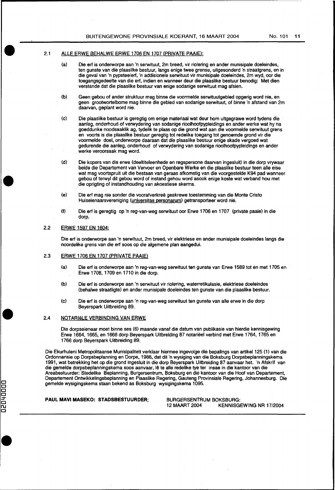### 2.1 ALLE ERWE BEHALWE ERWE 1706 EN 1707 (PRIVATE PAAIE):

- (a) Die erf is onderworpe aan 'n serwituut, 2m breed, vir riolering en ander munisipale doeleindes, ten gunste van die plaaslike bestuur, langs enige twee grense, uitgesonderd 'n straatgrens, en in die geval van 'n pypsteelert, 'n addisionele serwituut vir munisipale doeleindes, 2m wyd, oor die toegangsgedeelte van die ert, indian en wanneer deur die plaaslike bestuur benodig: Met dien verstande dat die plaaslike bestuur van enige sodanige serwituut mag afsien.
- (b) Geen gebou of ander struktuur mag binne die voormelde serwituutgebied opgerig word nie, en geen grootwortelbome mag binne die gebied van sodanige serwituut, of binne 'n afstand van 2m daarvan, geplant word nie.
- (c) Die plaaslike bestuur is geregtig om enige materiaal wat deur hom uitgegrawe word tydens die aanleg, onderhoud of verwydering van sodanige rioolhoofpypleidings en ander werke wat hy na goeddunke noodsaaklik ag, tydelik te plaas op die grond wat aan die voormelde serwituut grens en voorts is die plaaslike bestuur geregtig tot redelike toegang tot genoemde grond vir die voormelde doel, onderworpe daaraan dat die plaaslike bestuur enige skade vergoed wat gedurende die aanleg, onderhoud of verwydering van sodanige rioolhoofpypleidings en ander werke veroorsaak mag word.
- (d) Die kopers van die erwe (deeltiteleenhede en regspersone daarvan ingesluit) in die dorp vrywaar beida die Departement van Vervoer en Openbare Werke en die plaaslike bestuurteen aile eise wat mag voortspruit uit die bestaan van geraas afkomstig van die voorgestelde K94 pad wanneer gebou of terwyl dit gebou word of instand gehou word asook enige koste wat verband hou met die oprigting of instandhouding van akoestiese skerms.
- (e) Die erf mag nie sonder die voorafverkree geskrewe toestemming van die Monte Cristo Huiseienaarsvereniging (universitas personarum) getransporteer word nie.
- (f) Die erf is geregtig op 'n reg-van-weg serwituut oor Erwe 1706 en 1707 (private paaie) in die dorp.

#### 2.2 ERWE 1597 EN 1604:

Die erf is onderworpe aan 'n serwituut, 2m breed, vir elektriese en ander munisipale doeleindes langs die noordelike grens van die erf soos op die algemene plan aangedui.

#### 2.3 ERWE 1706 EN 1707 (PRIVATE PAAIE)

- (a) Die erf is onderworpe aan 'n reg-van-weg serwituut ten gunste van Erwe 1589 tot en met 1705 en Erwe 1708, 1709 en 1710 in die dorp.
- (b) Die erf is onderworpe aan 'n serwituut vir riolering, waterretikulasie, elektriese doeleindes (behalwe straatligte) en ander munisipale doeleindes ten gunste van die plaaslike bestuur.
- (c) Die erf is onderworpe aan 'n reg-van-weg serwituut ten gunste van aile erwe in die dorp Beyerspark Uitbreiding 89.

#### 2.4 NOTARieLE VERBINDING VAN ERWE

Die dorpseienaar moat binne ses (6) maande vanaf die datum van publikasie van hierdie kennisgewing Erwe 1664, 1665, en 1666 dorp Beyerspark Uitbreiding 87 notarieel verbind met Erwe 1764, 1765 en 1766 dorp Beyerspark Uitbreiding 89.

Die Ekurhuleni Metropolitaanse Munisipaliteit verklaar hiermee ingevolge die bepalings van artikel 125 (1) van die Ordonnansie op Dorpsbeplanning en Dorpe, 1986, dat dit 'n wysiging van die Boksburg Dorpsbeplanningskema 1991, wat betrekking het op die grond ingesluit in die dorp Beyerspark Uitbreiding 87 aanvaar het. 'n Afskrif van die gemelde dorpsbeplanningskema soos aanvaar, Iê te alle redelike tye ter insae in die kantoor van die Areabestuurder: Stedelike Beplanning, Burgersentrum, Boksburg en die kantoor van die Hoof van Departement, Departement Ontwikkelingsbeplanning en Plaaslike Regering, Gauteng Provinsiale Regering, Johannesburg. Die gemelde wysigingskema staan bekend as Boksburg wysigingskema 1095.

000H

n<br>O

**PAUL MAVI MASEKO: STADSBESTUURDER;** BURGERSENTRUM BOKSBURG: KENNISGEWING NR 17/2004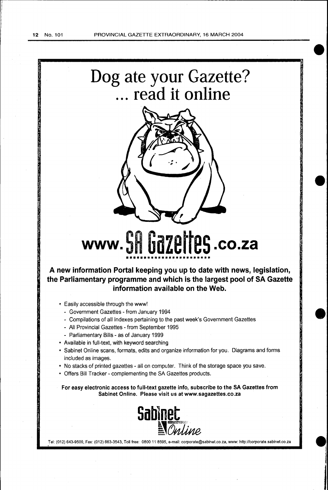



<sup>i</sup>**e:** 

# www. **SH UdZEIIE5** .co.za ••••••••••••••••••••••••

**A new information Portal keeping you up to date with news, legislation, the Parliamentary programme and which is the largest pool of SA Gazette information available on the Web.** 

- Easily accessible through the www!
	- Government Gazettes from January 1994
	- Compilations of all Indexes pertaining to the past week's Government Gazettes
	- All Provincial Gazettes- from September 1995
	- Parliamentary Bills- as of January 1999
- Available in full-text, with keyword searching
- Sabinet Online scans, formats, edits and organize information for you. Diagrams and forms included as images.
- No stacks of printed gazettes- all on computer. Think of the storage space you save.
- Offers Bill Tracker- complementing the SA Gazettes products.

For easy electronic access to full-text gazette info, subscribe to the SA Gazettes from Sabinet Online. Please visit us at www.sagazettes.co.za



•.' Tel: (012) 643-9500, Fax: (012) 663-3543, Toll free: 0800 11 8595, e-mail: corporate@sabinet.co.za, www: http://corporate.sabinet.co.za **<sup>W</sup>**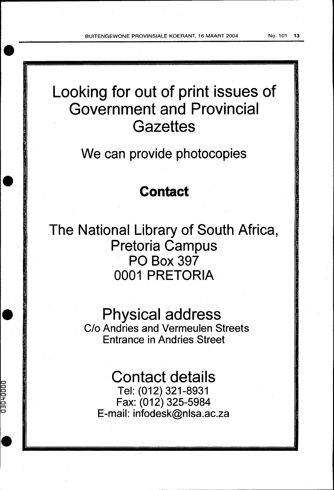BUITENGEWONE PROVINSIALE KOERANT, 16 MAART 2004 No. 101 13

Looking for out of print issues of Government and Provincial **Gazettes** 

We can provide photocopies

# **Contact**

**e·** 

**COOD+DED** 

The National Library of South Africa, Pretoria Campus PO Box 397 0001 PRETORIA

> Physical address C/o Andries and Vermeulen Streets Entrance in Andries Street

Contact details Tel: (012) 321-8931 Fax: (012) 325-5984 E-mail: infodesk@nlsa.ac.za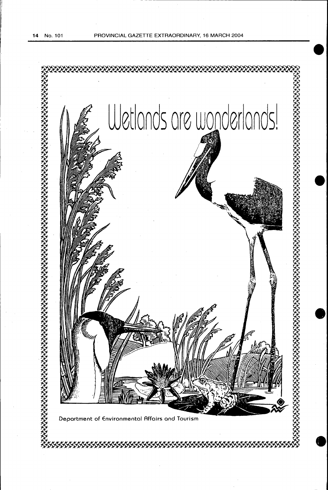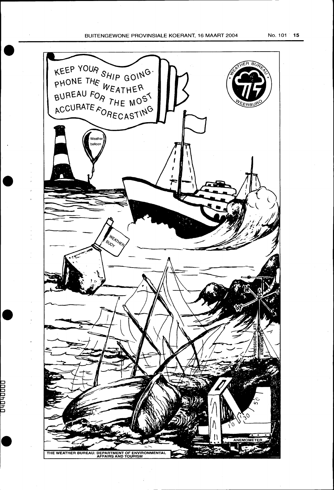### BUITENGEWONE PROVINSIALE KOERANT, 16 MAART 2004 No. 101 15



1000#0#0